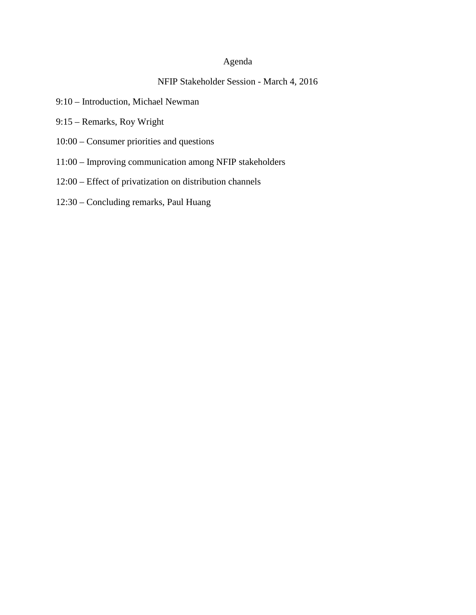# Agenda

# NFIP Stakeholder Session - March 4, 2016

- 9:10 Introduction, Michael Newman
- 9:15 Remarks, Roy Wright
- 10:00 Consumer priorities and questions
- 11:00 Improving communication among NFIP stakeholders
- 12:00 Effect of privatization on distribution channels
- 12:30 Concluding remarks, Paul Huang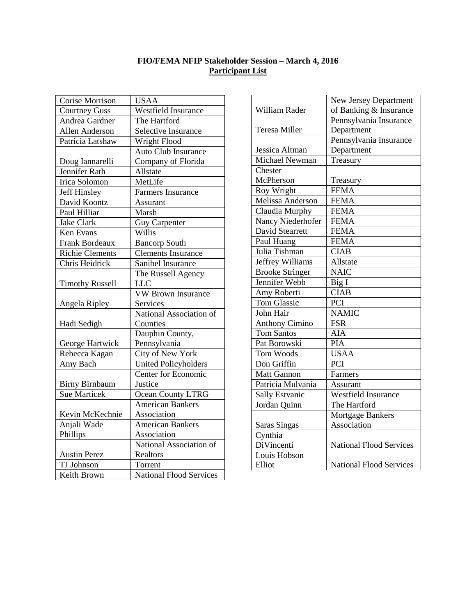#### **FIO/FEMA NFIP Stakeholder Session – March 4, 2016 Participant List**

| Corise Morrison        | <b>USAA</b>                    |
|------------------------|--------------------------------|
| <b>Courtney Guss</b>   | Westfield Insurance            |
| Andrea Gardner         | The Hartford                   |
| Allen Anderson         | Selective Insurance            |
| Patricia Latshaw       | Wright Flood                   |
|                        | <b>Auto Club Insurance</b>     |
| Doug Iannarelli        | Company of Florida             |
| <b>Jennifer Rath</b>   | Allstate                       |
| <b>Irica Solomon</b>   | MetLife                        |
| Jeff Hinsley           | <b>Farmers Insurance</b>       |
| David Koontz           | Assurant                       |
| Paul Hilliar           | Marsh                          |
| <b>Jake Clark</b>      | <b>Guy Carpenter</b>           |
| Ken Evans              | Willis                         |
| <b>Frank Bordeaux</b>  | <b>Bancorp South</b>           |
| <b>Richie Clements</b> | <b>Clements Insurance</b>      |
| Chris Heidrick         | Sanibel Insurance              |
|                        | The Russell Agency             |
| <b>Timothy Russell</b> | <b>LLC</b>                     |
|                        | <b>VW Brown Insurance</b>      |
| Angela Ripley          | Services                       |
|                        | National Association of        |
| Hadi Sedigh            | Counties                       |
|                        | Dauphin County,                |
| George Hartwick        | Pennsylvania                   |
| Rebecca Kagan          | City of New York               |
| Amy Bach               | <b>United Policyholders</b>    |
|                        | <b>Center for Economic</b>     |
| <b>Birny Birnbaum</b>  | Justice                        |
| <b>Sue Marticek</b>    | Ocean County LTRG              |
|                        | <b>American Bankers</b>        |
| Kevin McKechnie        | Association                    |
| Anjali Wade            | <b>American Bankers</b>        |
| Phillips               | Association                    |
|                        | National Association of        |
| <b>Austin Perez</b>    | Realtors                       |
| <b>TJ</b> Johnson      | Torrent                        |
| Keith Brown            | <b>National Flood Services</b> |

|                        | New Jersey Department          |
|------------------------|--------------------------------|
| William Rader          | of Banking & Insurance         |
|                        | Pennsylvania Insurance         |
| Teresa Miller          | Department                     |
|                        | Pennsylvania Insurance         |
| Jessica Altman         | Department                     |
| Michael Newman         | Treasury                       |
| Chester                |                                |
| McPherson              | Treasury                       |
| Roy Wright             | <b>FEMA</b>                    |
| Melissa Anderson       | <b>FEMA</b>                    |
| Claudia Murphy         | <b>FEMA</b>                    |
| Nancy Niederhofer      | <b>FEMA</b>                    |
| David Stearrett        | <b>FEMA</b>                    |
| Paul Huang             | <b>FEMA</b>                    |
| Julia Tishman          | <b>CIAB</b>                    |
| Jeffrey Williams       | Allstate                       |
| <b>Brooke Stringer</b> | <b>NAIC</b>                    |
| Jennifer Webb          | Big I                          |
| Amy Roberti            | <b>CIAB</b>                    |
| <b>Tom Glassic</b>     | PCI                            |
| John Hair              | <b>NAMIC</b>                   |
| <b>Anthony Cimino</b>  | <b>FSR</b>                     |
| <b>Tom Santos</b>      | <b>AIA</b>                     |
| Pat Borowski           | <b>PIA</b>                     |
| Tom Woods              | <b>USAA</b>                    |
| Don Griffin            | <b>PCI</b>                     |
| <b>Matt Gannon</b>     | Farmers                        |
| Patricia Mulvania      | Assurant                       |
| Sally Estvanic         | <b>Westfield Insurance</b>     |
| Jordan Quinn           | The Hartford                   |
|                        | Mortgage Bankers               |
| <b>Saras Singas</b>    | Association                    |
| Cynthia                |                                |
| DiVincenti             | <b>National Flood Services</b> |
| Louis Hobson           |                                |
| Elliot                 | <b>National Flood Services</b> |